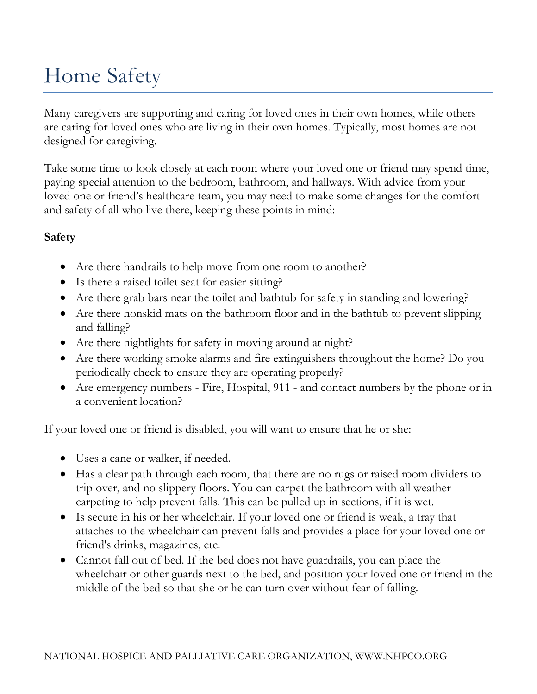# Home Safety

Many caregivers are supporting and caring for loved ones in their own homes, while others are caring for loved ones who are living in their own homes. Typically, most homes are not designed for caregiving.

Take some time to look closely at each room where your loved one or friend may spend time, paying special attention to the bedroom, bathroom, and hallways. With advice from your loved one or friend's healthcare team, you may need to make some changes for the comfort and safety of all who live there, keeping these points in mind:

#### **Safety**

- Are there handrails to help move from one room to another?
- Is there a raised toilet seat for easier sitting?
- Are there grab bars near the toilet and bathtub for safety in standing and lowering?
- Are there nonskid mats on the bathroom floor and in the bathtub to prevent slipping and falling?
- Are there nightlights for safety in moving around at night?
- Are there working smoke alarms and fire extinguishers throughout the home? Do you periodically check to ensure they are operating properly?
- Are emergency numbers Fire, Hospital, 911 and contact numbers by the phone or in a convenient location?

If your loved one or friend is disabled, you will want to ensure that he or she:

- Uses a cane or walker, if needed.
- Has a clear path through each room, that there are no rugs or raised room dividers to trip over, and no slippery floors. You can carpet the bathroom with all weather carpeting to help prevent falls. This can be pulled up in sections, if it is wet.
- Is secure in his or her wheelchair. If your loved one or friend is weak, a tray that attaches to the wheelchair can prevent falls and provides a place for your loved one or friend's drinks, magazines, etc.
- Cannot fall out of bed. If the bed does not have guardrails, you can place the wheelchair or other guards next to the bed, and position your loved one or friend in the middle of the bed so that she or he can turn over without fear of falling.